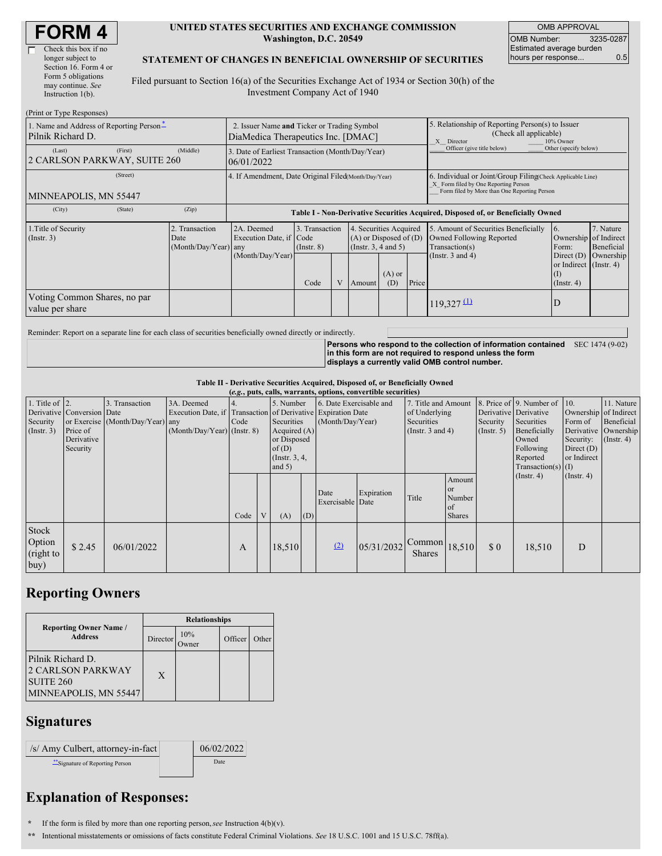| <b>FORM4</b> |
|--------------|
|--------------|

| Check this box if no  |
|-----------------------|
| longer subject to     |
| Section 16. Form 4 or |
| Form 5 obligations    |
| may continue. See     |
| Instruction $1(b)$ .  |
|                       |

#### **UNITED STATES SECURITIES AND EXCHANGE COMMISSION Washington, D.C. 20549**

OMB APPROVAL OMB Number: 3235-0287 Estimated average burden hours per response... 0.5

### **STATEMENT OF CHANGES IN BENEFICIAL OWNERSHIP OF SECURITIES**

Filed pursuant to Section 16(a) of the Securities Exchange Act of 1934 or Section 30(h) of the Investment Company Act of 1940

| (Print or Type Responses)                                     |                                                                                   |                      |                                                                                  |      |  |                                                                              |                                                                                                       |                            |                                                                                                                                                    |                                                                |                         |  |
|---------------------------------------------------------------|-----------------------------------------------------------------------------------|----------------------|----------------------------------------------------------------------------------|------|--|------------------------------------------------------------------------------|-------------------------------------------------------------------------------------------------------|----------------------------|----------------------------------------------------------------------------------------------------------------------------------------------------|----------------------------------------------------------------|-------------------------|--|
| 1. Name and Address of Reporting Person-<br>Pilnik Richard D. | 2. Issuer Name and Ticker or Trading Symbol<br>DiaMedica Therapeutics Inc. [DMAC] |                      |                                                                                  |      |  |                                                                              | 5. Relationship of Reporting Person(s) to Issuer<br>(Check all applicable)<br>X Director<br>10% Owner |                            |                                                                                                                                                    |                                                                |                         |  |
| (Last)<br>2 CARLSON PARKWAY, SUITE 260                        | (First)                                                                           | (Middle)             | 3. Date of Earliest Transaction (Month/Day/Year)<br>06/01/2022                   |      |  |                                                                              |                                                                                                       | Officer (give title below) | Other (specify below)                                                                                                                              |                                                                |                         |  |
| (Street)<br>MINNEAPOLIS, MN 55447                             |                                                                                   |                      | 4. If Amendment, Date Original Filed(Month/Day/Year)                             |      |  |                                                                              |                                                                                                       |                            | 6. Individual or Joint/Group Filing Check Applicable Line)<br>X Form filed by One Reporting Person<br>Form filed by More than One Reporting Person |                                                                |                         |  |
| (City)                                                        | (State)                                                                           | (Zip)                | Table I - Non-Derivative Securities Acquired, Disposed of, or Beneficially Owned |      |  |                                                                              |                                                                                                       |                            |                                                                                                                                                    |                                                                |                         |  |
| 1. Title of Security<br>2. Transaction<br>(Insert. 3)<br>Date |                                                                                   | (Month/Day/Year) any | 2A. Deemed<br>3. Transaction<br>Execution Date, if Code<br>$($ Instr. $8)$       |      |  | 4. Securities Acquired<br>$(A)$ or Disposed of $(D)$<br>(Insert. 3, 4 and 5) |                                                                                                       |                            | 5. Amount of Securities Beneficially<br>Owned Following Reported<br>Transaction(s)                                                                 | 16.<br>Ownership of Indirect<br>Form:                          | 7. Nature<br>Beneficial |  |
|                                                               |                                                                                   |                      | (Month/Day/Year)                                                                 | Code |  | Amount                                                                       | $(A)$ or<br>(D)                                                                                       | Price                      | (Instr. $3$ and $4$ )                                                                                                                              | Direct $(D)$<br>or Indirect (Instr. 4)<br>(I)<br>$($ Instr. 4) | Ownership               |  |
| Voting Common Shares, no par<br>value per share               |                                                                                   |                      |                                                                                  |      |  |                                                                              |                                                                                                       | $119,327 \underline{u}$    | ID                                                                                                                                                 |                                                                |                         |  |

Reminder: Report on a separate line for each class of securities beneficially owned directly or indirectly.

**Persons who respond to the collection of information contained** SEC 1474 (9-02) **in this form are not required to respond unless the form displays a currently valid OMB control number.**

#### **Table II - Derivative Securities Acquired, Disposed of, or Beneficially Owned**

| 1. Title of $ 2$ .           |                            |                                  | (e.g., puts, calls, warrants, options, convertible securities) |      |   |                  |     |                          |                  |                                       |               |                       |                          |                                           |                                                                         |
|------------------------------|----------------------------|----------------------------------|----------------------------------------------------------------|------|---|------------------|-----|--------------------------|------------------|---------------------------------------|---------------|-----------------------|--------------------------|-------------------------------------------|-------------------------------------------------------------------------|
|                              |                            | 3. Transaction                   | 3A. Deemed                                                     | 4.   |   | 5. Number        |     | 6. Date Exercisable and  |                  | 7. Title and Amount                   |               |                       | 8. Price of 9. Number of | 10.                                       | 11. Nature                                                              |
|                              | Derivative Conversion Date |                                  | Execution Date, if Transaction of Derivative Expiration Date   |      |   |                  |     |                          |                  | of Underlying                         |               | Derivative Derivative |                          |                                           | Ownership of Indirect                                                   |
| Security                     |                            | or Exercise (Month/Day/Year) any |                                                                | Code |   | Securities       |     | (Month/Day/Year)         |                  | Securities                            |               | Security              | Securities               | Form of                                   | Beneficial                                                              |
| $($ Instr. 3 $)$             | Price of                   |                                  | $(Month/Day/Year)$ (Instr. 8)                                  |      |   | Acquired $(A)$   |     |                          | (Instr. 3 and 4) |                                       | (Insert. 5)   | Beneficially          |                          | Derivative Ownership                      |                                                                         |
|                              | Derivative                 |                                  |                                                                |      |   | or Disposed      |     |                          |                  |                                       | Owned         | Security:             | $($ Instr. 4)            |                                           |                                                                         |
|                              | Security                   |                                  |                                                                |      |   | of(D)            |     |                          |                  |                                       |               |                       |                          |                                           |                                                                         |
|                              |                            |                                  |                                                                |      |   | $($ Instr. 3, 4, |     |                          |                  |                                       |               |                       |                          |                                           |                                                                         |
|                              |                            |                                  |                                                                |      |   |                  |     |                          |                  |                                       |               |                       |                          |                                           |                                                                         |
|                              |                            |                                  |                                                                |      |   |                  |     |                          |                  |                                       | Amount        |                       |                          |                                           |                                                                         |
|                              |                            |                                  |                                                                |      |   |                  |     |                          |                  |                                       | <b>or</b>     |                       |                          |                                           |                                                                         |
|                              |                            |                                  |                                                                |      |   |                  |     |                          |                  | Title                                 | Number        |                       |                          |                                           |                                                                         |
|                              |                            |                                  |                                                                |      |   |                  |     |                          |                  |                                       | <sub>of</sub> |                       |                          |                                           |                                                                         |
|                              |                            |                                  |                                                                | Code | V | (A)              | (D) |                          |                  |                                       | <b>Shares</b> |                       |                          |                                           |                                                                         |
| Stock<br>Option<br>(right to | \$2.45                     | 06/01/2022                       |                                                                | A    |   | 18,510           |     | (2)                      | 05/31/2032       | $\sim$ Common 18,510<br><b>Shares</b> |               | $\Omega$              | 18,510                   | D                                         |                                                                         |
| buy)                         |                            |                                  |                                                                |      |   | and $5)$         |     | Date<br>Exercisable Date | Expiration       |                                       |               |                       |                          | Following<br>Reported<br>$($ Instr. 4 $)$ | Direct $(D)$<br>or Indirect<br>Transaction(s) $(I)$<br>$($ Instr. 4 $)$ |

### **Reporting Owners**

|                                                                                                | <b>Relationships</b> |     |         |       |  |  |  |  |
|------------------------------------------------------------------------------------------------|----------------------|-----|---------|-------|--|--|--|--|
| <b>Reporting Owner Name /</b><br><b>Address</b>                                                | Director             | 10% | Officer | Other |  |  |  |  |
| Pilnik Richard D.<br><b>2 CARLSON PARKWAY</b><br>SUITE <sub>260</sub><br>MINNEAPOLIS, MN 55447 | X                    |     |         |       |  |  |  |  |

## **Signatures**

| /s/ Amy Culbert, attorney-in-fact | 06/02/2022 |
|-----------------------------------|------------|
| "Signature of Reporting Person    | Date       |

# **Explanation of Responses:**

**\*** If the form is filed by more than one reporting person,*see* Instruction 4(b)(v).

**\*\*** Intentional misstatements or omissions of facts constitute Federal Criminal Violations. *See* 18 U.S.C. 1001 and 15 U.S.C. 78ff(a).